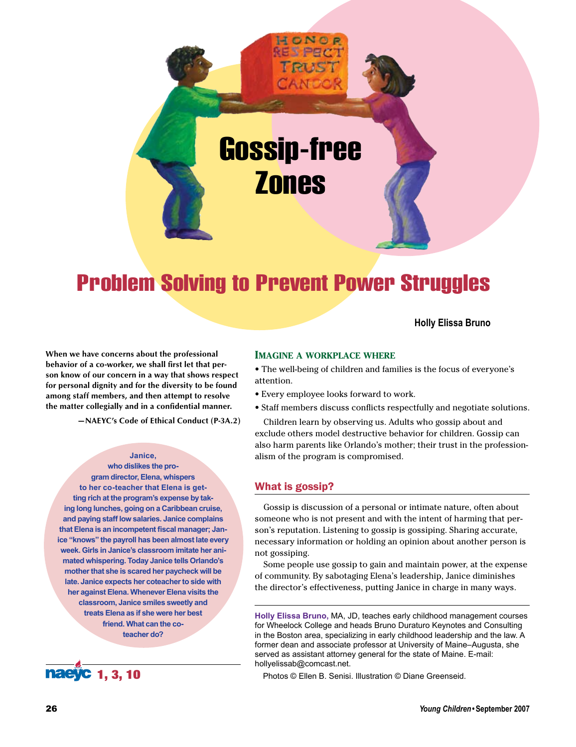

# Problem Solving to Prevent Power Struggles

### **Holly Elissa Bruno**

**When we have concerns about the professional behavior of a co-worker, we shall first let that person know of our concern in a way that shows respect for personal dignity and for the diversity to be found among staff members, and then attempt to resolve the matter collegially and in a confidential manner.**

**—NAEYC's Code of Ethical Conduct (P-3A.2)**

#### **Janice,**

**who dislikes the program director, Elena, whispers to her co-teacher that Elena is getting rich at the program's expense by taking long lunches, going on a Caribbean cruise, and paying staff low salaries. Janice complains that Elena is an incompetent fiscal manager; Janice "knows" the payroll has been almost late every week. Girls in Janice's classroom imitate her animated whispering. Today Janice tells Orlando's mother that she is scared her paycheck will be late. Janice expects her coteacher to side with her against Elena. Whenever Elena visits the classroom, Janice smiles sweetly and treats Elena as if she were her best friend. What can the coteacher do?**



#### **Imagine a workplace where**

• The well-being of children and families is the focus of everyone's attention.

- • Every employee looks forward to work.
- • Staff members discuss conflicts respectfully and negotiate solutions.

Children learn by observing us. Adults who gossip about and exclude others model destructive behavior for children. Gossip can also harm parents like Orlando's mother; their trust in the professionalism of the program is compromised.

### What is gossip?

Gossip is discussion of a personal or intimate nature, often about someone who is not present and with the intent of harming that person's reputation. Listening to gossip is gossiping. Sharing accurate, necessary information or holding an opinion about another person is not gossiping.

Some people use gossip to gain and maintain power, at the expense of community. By sabotaging Elena's leadership, Janice diminishes the director's effectiveness, putting Janice in charge in many ways.

**Holly Elissa Bruno,** MA, JD, teaches early childhood management courses for Wheelock College and heads Bruno Duraturo Keynotes and Consulting in the Boston area, specializing in early childhood leadership and the law. A former dean and associate professor at University of Maine–Augusta, she served as assistant attorney general for the state of Maine. E-mail: hollyelissab@comcast.net.

Photos © Ellen B. Senisi. Illustration © Diane Greenseid.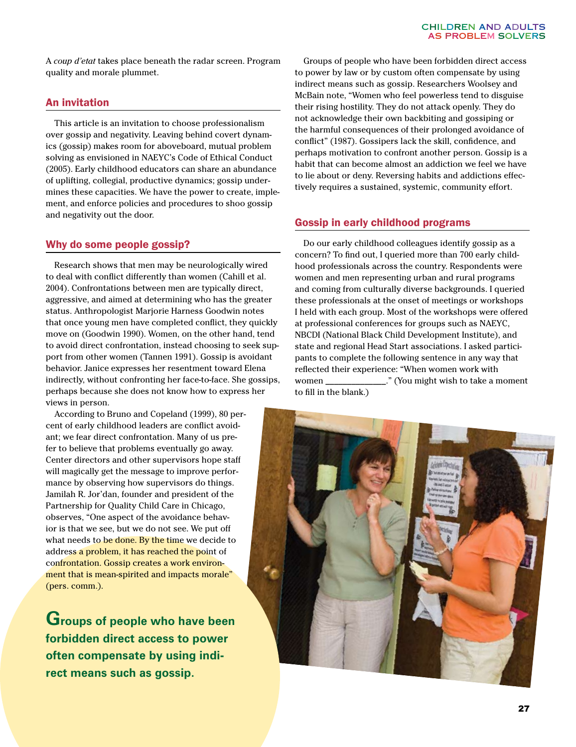A *coup d'etat* takes place beneath the radar screen. Program quality and morale plummet.

# An invitation

This article is an invitation to choose professionalism over gossip and negativity. Leaving behind covert dynamics (gossip) makes room for aboveboard, mutual problem solving as envisioned in NAEYC's Code of Ethical Conduct (2005). Early childhood educators can share an abundance of uplifting, collegial, productive dynamics; gossip undermines these capacities. We have the power to create, implement, and enforce policies and procedures to shoo gossip and negativity out the door.

# Why do some people gossip?

Research shows that men may be neurologically wired to deal with conflict differently than women (Cahill et al. 2004). Confrontations between men are typically direct, aggressive, and aimed at determining who has the greater status. Anthropologist Marjorie Harness Goodwin notes that once young men have completed conflict, they quickly move on (Goodwin 1990). Women, on the other hand, tend to avoid direct confrontation, instead choosing to seek support from other women (Tannen 1991). Gossip is avoidant behavior. Janice expresses her resentment toward Elena indirectly, without confronting her face-to-face. She gossips, perhaps because she does not know how to express her views in person.

According to Bruno and Copeland (1999), 80 percent of early childhood leaders are conflict avoidant; we fear direct confrontation. Many of us prefer to believe that problems eventually go away. Center directors and other supervisors hope staff will magically get the message to improve performance by observing how supervisors do things. Jamilah R. Jor'dan, founder and president of the Partnership for Quality Child Care in Chicago, observes, "One aspect of the avoidance behavior is that we see, but we do not see. We put off what needs to be done. By the time we decide to address a problem, it has reached the point of confrontation. Gossip creates a work environment that is mean-spirited and impacts morale" (pers. comm.).

**Groups of people who have been forbidden direct access to power often compensate by using indirect means such as gossip.**

Groups of people who have been forbidden direct access to power by law or by custom often compensate by using indirect means such as gossip. Researchers Woolsey and McBain note, "Women who feel powerless tend to disguise their rising hostility. They do not attack openly. They do not acknowledge their own backbiting and gossiping or the harmful consequences of their prolonged avoidance of conflict" (1987). Gossipers lack the skill, confidence, and perhaps motivation to confront another person. Gossip is a habit that can become almost an addiction we feel we have to lie about or deny. Reversing habits and addictions effectively requires a sustained, systemic, community effort.

# Gossip in early childhood programs

Do our early childhood colleagues identify gossip as a concern? To find out, I queried more than 700 early childhood professionals across the country. Respondents were women and men representing urban and rural programs and coming from culturally diverse backgrounds. I queried these professionals at the onset of meetings or workshops I held with each group. Most of the workshops were offered at professional conferences for groups such as NAEYC, NBCDI (National Black Child Development Institute), and state and regional Head Start associations. I asked participants to complete the following sentence in any way that reflected their experience: "When women work with women \_\_\_\_\_\_\_\_\_\_\_\_\_\_." (You might wish to take a moment to fill in the blank.)

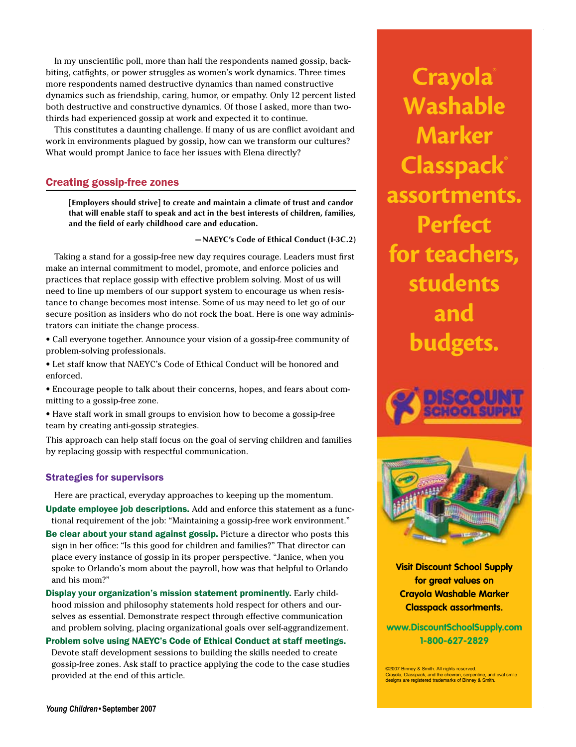In my unscientific poll, more than half the respondents named gossip, backbiting, catfights, or power struggles as women's work dynamics. Three times more respondents named destructive dynamics than named constructive dynamics such as friendship, caring, humor, or empathy. Only 12 percent listed both destructive and constructive dynamics. Of those I asked, more than twothirds had experienced gossip at work and expected it to continue.

This constitutes a daunting challenge. If many of us are conflict avoidant and work in environments plagued by gossip, how can we transform our cultures? What would prompt Janice to face her issues with Elena directly?

# Creating gossip-free zones

**[Employers should strive] to create and maintain a climate of trust and candor that will enable staff to speak and act in the best interests of children, families, and the field of early childhood care and education.**

**—NAEYC's Code of Ethical Conduct (I-3C.2)**

Taking a stand for a gossip-free new day requires courage. Leaders must first make an internal commitment to model, promote, and enforce policies and practices that replace gossip with effective problem solving. Most of us will need to line up members of our support system to encourage us when resistance to change becomes most intense. Some of us may need to let go of our secure position as insiders who do not rock the boat. Here is one way administrators can initiate the change process.

• Call everyone together. Announce your vision of a gossip-free community of problem-solving professionals.

• Let staff know that NAEYC's Code of Ethical Conduct will be honored and enforced.

• Encourage people to talk about their concerns, hopes, and fears about committing to a gossip-free zone.

• Have staff work in small groups to envision how to become a gossip-free team by creating anti-gossip strategies.

This approach can help staff focus on the goal of serving children and families by replacing gossip with respectful communication.

### Strategies for supervisors

Here are practical, everyday approaches to keeping up the momentum.

Update employee job descriptions. Add and enforce this statement as a functional requirement of the job: "Maintaining a gossip-free work environment."

Be clear about your stand against gossip. Picture a director who posts this sign in her office: "Is this good for children and families?" That director can place every instance of gossip in its proper perspective. "Janice, when you spoke to Orlando's mom about the payroll, how was that helpful to Orlando and his mom?"

Display your organization's mission statement prominently. Early childhood mission and philosophy statements hold respect for others and ourselves as essential. Demonstrate respect through effective communication and problem solving, placing organizational goals over self-aggrandizement.

Problem solve using NAEYC's Code of Ethical Conduct at staff meetings. Devote staff development sessions to building the skills needed to create gossip-free zones. Ask staff to practice applying the code to the case studies provided at the end of this article.

**Crayola**® **Washable Marker Classpack**® **assortments. Perfect for teachers, students and budgets.**

CHILDREN AND ADULTS AS PROBLEM SOLVERS





**Visit Discount School Supply for great values on Crayola Washable Marker Classpack assortments.**

**www.DiscountSchoolSupply.com 1-800-627-2829**

©2007 Binney & Smith. All rights reserved. Crayola, Classpack, and the chevron, serpentine, and oval smile designs are registered trademarks of Binney & Smith.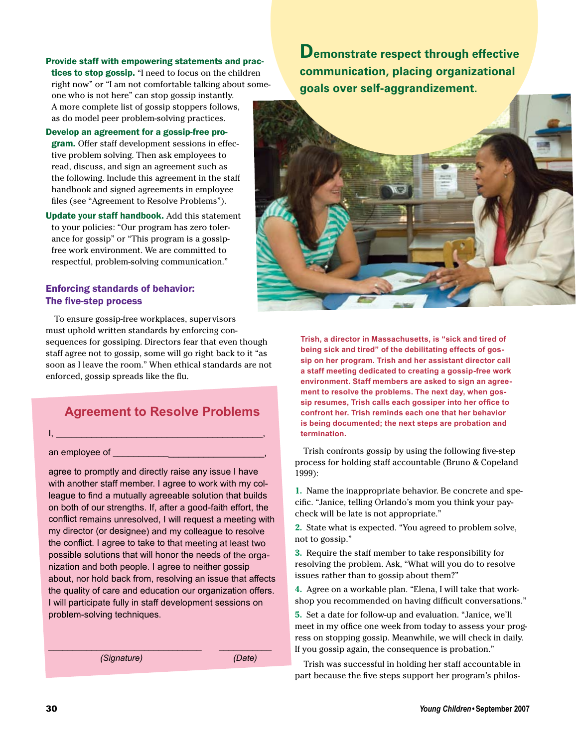Provide staff with empowering statements and practices to stop gossip. "I need to focus on the children right now" or "I am not comfortable talking about someone who is not here" can stop gossip instantly. A more complete list of gossip stoppers follows, as do model peer problem-solving practices.

Develop an agreement for a gossip-free pro-

gram. Offer staff development sessions in effective problem solving. Then ask employees to read, discuss, and sign an agreement such as the following. Include this agreement in the staff handbook and signed agreements in employee files (see "Agreement to Resolve Problems").

Update your staff handbook. Add this statement to your policies: "Our program has zero tolerance for gossip" or "This program is a gossipfree work environment. We are committed to respectful, problem-solving communication."

# Enforcing standards of behavior: The five-step process

To ensure gossip-free workplaces, supervisors must uphold written standards by enforcing consequences for gossiping. Directors fear that even though staff agree not to gossip, some will go right back to it "as soon as I leave the room." When ethical standards are not enforced, gossip spreads like the flu.

# **Agreement to Resolve Problems**

 $I, \_\_$ 

# an employee of \_\_\_\_\_\_\_\_\_\_\_\_\_\_\_\_\_\_\_\_\_\_\_\_\_\_\_\_\_\_,

agree to promptly and directly raise any issue I have with another staff member. I agree to work with my colleague to find a mutually agreeable solution that builds on both of our strengths. If, after a good-faith effort, the conflict remains unresolved, I will request a meeting with my director (or designee) and my colleague to resolve the conflict. I agree to take to that meeting at least two possible solutions that will honor the needs of the organization and both people. I agree to neither gossip about, nor hold back from, resolving an issue that affects the quality of care and education our organization offers. I will participate fully in staff development sessions on problem-solving techniques.

 $\mathcal{L}_\mathcal{L}$  , and the contribution of the contribution of the contribution of the contribution of the contribution of the contribution of the contribution of the contribution of the contribution of the contribution of

*(Signature) (Date)*

**Demonstrate respect through effective communication, placing organizational goals over self-aggrandizement.**



**Trish, a director in Massachusetts, is "sick and tired of being sick and tired" of the debilitating effects of gossip on her program. Trish and her assistant director call a staff meeting dedicated to creating a gossip-free work environment. Staff members are asked to sign an agreement to resolve the problems. The next day, when gossip resumes, Trish calls each gossiper into her office to confront her. Trish reminds each one that her behavior is being documented; the next steps are probation and termination.**

Trish confronts gossip by using the following five-step process for holding staff accountable (Bruno & Copeland 1999):

**1.** Name the inappropriate behavior. Be concrete and specific. "Janice, telling Orlando's mom you think your paycheck will be late is not appropriate."

**2.** State what is expected. "You agreed to problem solve, not to gossip."

**3.** Require the staff member to take responsibility for resolving the problem. Ask, "What will you do to resolve issues rather than to gossip about them?"

**4.** Agree on a workable plan. "Elena, I will take that workshop you recommended on having difficult conversations."

**5.** Set a date for follow-up and evaluation. "Janice, we'll meet in my office one week from today to assess your progress on stopping gossip. Meanwhile, we will check in daily. If you gossip again, the consequence is probation."

Trish was successful in holding her staff accountable in part because the five steps support her program's philos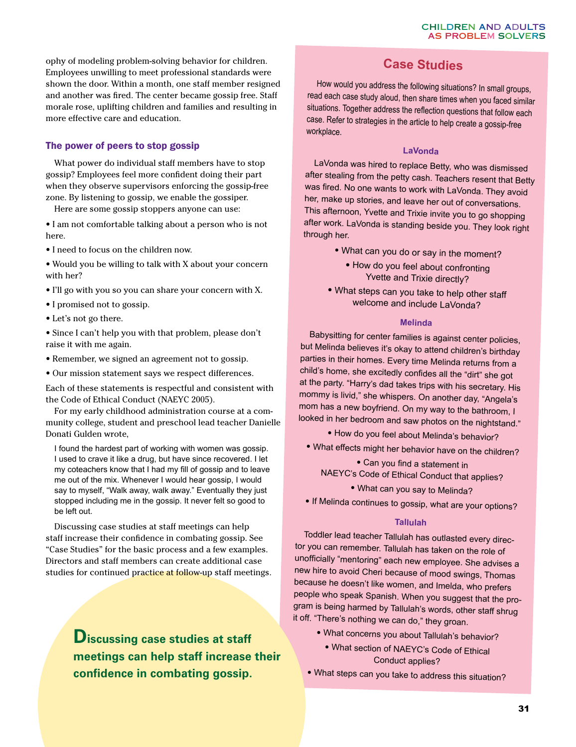ophy of modeling problem-solving behavior for children. Employees unwilling to meet professional standards were shown the door. Within a month, one staff member resigned and another was fired. The center became gossip free. Staff morale rose, uplifting children and families and resulting in more effective care and education.

# The power of peers to stop gossip

What power do individual staff members have to stop gossip? Employees feel more confident doing their part when they observe supervisors enforcing the gossip-free zone. By listening to gossip, we enable the gossiper.

Here are some gossip stoppers anyone can use:

• I am not comfortable talking about a person who is not here.

• I need to focus on the children now.

• Would you be willing to talk with X about your concern with her?

- I'll go with you so you can share your concern with X.
- • I promised not to gossip.
- Let's not go there.

• Since I can't help you with that problem, please don't raise it with me again.

- • Remember, we signed an agreement not to gossip.
- • Our mission statement says we respect differences.

Each of these statements is respectful and consistent with the Code of Ethical Conduct (NAEYC 2005).

For my early childhood administration course at a community college, student and preschool lead teacher Danielle Donati Gulden wrote,

I found the hardest part of working with women was gossip. I used to crave it like a drug, but have since recovered. I let my coteachers know that I had my fill of gossip and to leave me out of the mix. Whenever I would hear gossip, I would say to myself, "Walk away, walk away." Eventually they just stopped including me in the gossip. It never felt so good to be left out.

Discussing case studies at staff meetings can help staff increase their confidence in combating gossip. See "Case Studies" for the basic process and a few examples. Directors and staff members can create additional case studies for continued practice at follow-up staff meetings.

> **Discussing case studies at staff meetings can help staff increase their confidence in combating gossip.**

# **Case Studies**

 How would you address the following situations? In small groups, read each case study aloud, then share times when you faced similar situations. Together address the reflection questions that follow each case. Refer to strategies in the article to help create <sup>a</sup> gossip-free workplace.

### **LaVonda**

LaVonda was hired to replace Betty, who was dismissed after stealing from the petty cash. Teachers resent that Betty was fired. No one wants to work with LaVonda. They avoid her, make up stories, and leave her out of conversations. This afternoon, Yvette and Trixie invite you to go shopping after work. LaVonda is standing beside you. They look right through her.

- What can you do or say in the moment?
	- How do you feel about confronting Yvette and Trixie directly?
- • What steps can you take to help other staff welcome and include LaVonda?

### **Melinda**

Babysitting for center families is against center policies, but Melinda believes it's okay to attend children's birthday parties in their homes. Every time Melinda returns from a child's home, she excitedly confides all the "dirt" she got at the party. "Harry's dad takes trips with his secretary. His mommy is livid," she whispers. On another day, "Angela's mom has a new boyfriend. On my way to the bathroom, I looked in her bedroom and saw photos on the nightstand."

- How do you feel about Melinda's behavior?
- 
- What effects might her behavior have on the children?

• Can you find a statement in NAEYC's Code of Ethical Conduct that applies?

- What can you say to Melinda?
- If Melinda continues to gossip, what are your options?

### **Tallulah**

Toddler lead teacher Tallulah has outlasted every director you can remember. Tallulah has taken on the role of unofficially "mentoring" each new employee. She advises a new hire to avoid Cheri because of mood swings, Thomas because he doesn't like women, and Imelda, who prefers people who speak Spanish. When you suggest that the program is being harmed by Tallulah's words, other staff shrug it off. "There's nothing we can do," they groan.

- What concerns you about Tallulah's behavior?
	- What section of NAEYC's Code of Ethical Conduct applies?
- What steps can you take to address this situation?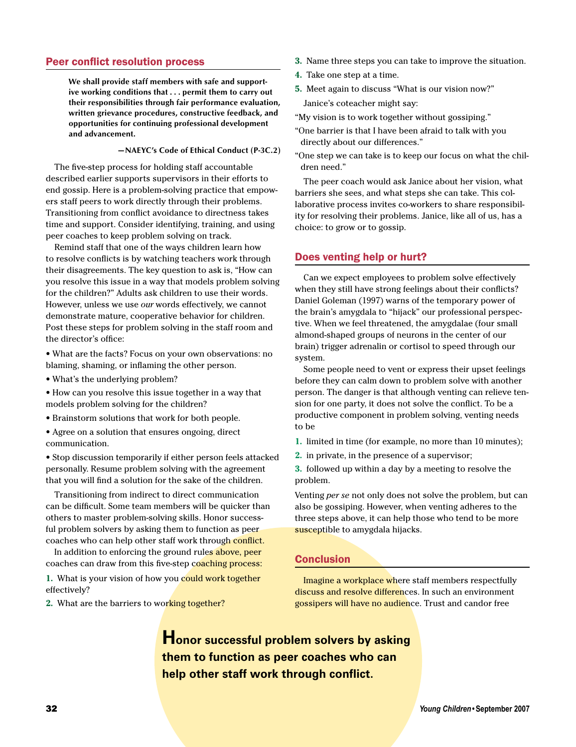### Peer conflict resolution process

**We shall provide staff members with safe and supportive working conditions that . . . permit them to carry out their responsibilities through fair performance evaluation, written grievance procedures, constructive feedback, and opportunities for continuing professional development and advancement.**

### **—NAEYC's Code of Ethical Conduct (P-3C.2)**

The five-step process for holding staff accountable described earlier supports supervisors in their efforts to end gossip. Here is a problem-solving practice that empowers staff peers to work directly through their problems. Transitioning from conflict avoidance to directness takes time and support. Consider identifying, training, and using peer coaches to keep problem solving on track.

Remind staff that one of the ways children learn how to resolve conflicts is by watching teachers work through their disagreements. The key question to ask is, "How can you resolve this issue in a way that models problem solving for the children?" Adults ask children to use their words. However, unless we use *our* words effectively, we cannot demonstrate mature, cooperative behavior for children. Post these steps for problem solving in the staff room and the director's office:

• What are the facts? Focus on your own observations: no blaming, shaming, or inflaming the other person.

• What's the underlying problem?

• How can you resolve this issue together in a way that models problem solving for the children?

- • Brainstorm solutions that work for both people.
- Agree on a solution that ensures ongoing, direct communication.

• Stop discussion temporarily if either person feels attacked personally. Resume problem solving with the agreement that you will find a solution for the sake of the children.

Transitioning from indirect to direct communication can be difficult. Some team members will be quicker than others to master problem-solving skills. Honor successful problem solvers by asking them to function as peer coaches who can help other staff work through conflict.

In addition to enforcing the ground rules above, peer coaches can draw from this five-step coaching process:

**1.** What is your vision of how you could work together effectively?

2. What are the barriers to working together?

- **3.** Name three steps you can take to improve the situation.
- **4.** Take one step at a time.
- **5.** Meet again to discuss "What is our vision now?" Janice's coteacher might say:

"My vision is to work together without gossiping."

- "One barrier is that I have been afraid to talk with you directly about our differences."
- "One step we can take is to keep our focus on what the children need."

The peer coach would ask Janice about her vision, what barriers she sees, and what steps she can take. This collaborative process invites co-workers to share responsibility for resolving their problems. Janice, like all of us, has a choice: to grow or to gossip.

### Does venting help or hurt?

Can we expect employees to problem solve effectively when they still have strong feelings about their conflicts? Daniel Goleman (1997) warns of the temporary power of the brain's amygdala to "hijack" our professional perspective. When we feel threatened, the amygdalae (four small almond-shaped groups of neurons in the center of our brain) trigger adrenalin or cortisol to speed through our system.

Some people need to vent or express their upset feelings before they can calm down to problem solve with another person. The danger is that although venting can relieve tension for one party, it does not solve the conflict. To be a productive component in problem solving, venting needs to be

- **1.** limited in time (for example, no more than 10 minutes);
- **2.** in private, in the presence of a supervisor;

**3.** followed up within a day by a meeting to resolve the problem.

Venting *per se* not only does not solve the problem, but can also be gossiping. However, when venting adheres to the three steps above, it can help those who tend to be more susceptible to amygdala hijacks.

### Conclusion

Imagine a workplace where staff members respectfully discuss and resolve differences. In such an environment gossipers will have no audience. Trust and candor free

**Honor successful problem solvers by asking them to function as peer coaches who can help other staff work through conflict.**